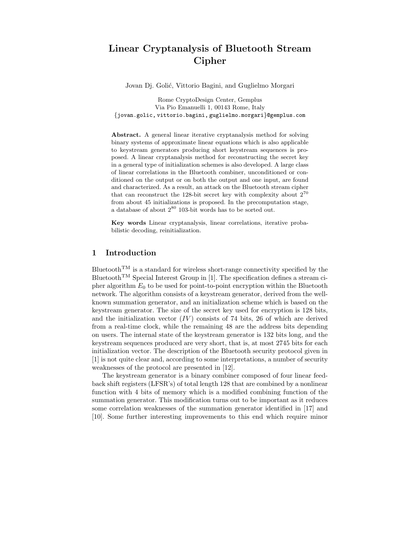# Linear Cryptanalysis of Bluetooth Stream Cipher

Jovan Dj. Golić, Vittorio Bagini, and Guglielmo Morgari

Rome CryptoDesign Center, Gemplus Via Pio Emanuelli 1, 00143 Rome, Italy {jovan.golic, vittorio.bagini, guglielmo.morgari}@gemplus.com

Abstract. A general linear iterative cryptanalysis method for solving binary systems of approximate linear equations which is also applicable to keystream generators producing short keystream sequences is proposed. A linear cryptanalysis method for reconstructing the secret key in a general type of initialization schemes is also developed. A large class of linear correlations in the Bluetooth combiner, unconditioned or conditioned on the output or on both the output and one input, are found and characterized. As a result, an attack on the Bluetooth stream cipher that can reconstruct the 128-bit secret key with complexity about  $2^{70}$ from about 45 initializations is proposed. In the precomputation stage, a database of about  $2^{80}$  103-bit words has to be sorted out.

Key words Linear cryptanalysis, linear correlations, iterative probabilistic decoding, reinitialization.

# 1 Introduction

Bluetooth<sup>TM</sup> is a standard for wireless short-range connectivity specified by the Bluetooth<sup>TM</sup> Special Interest Group in [1]. The specification defines a stream cipher algorithm  $E_0$  to be used for point-to-point encryption within the Bluetooth network. The algorithm consists of a keystream generator, derived from the wellknown summation generator, and an initialization scheme which is based on the keystream generator. The size of the secret key used for encryption is 128 bits, and the initialization vector  $(IV)$  consists of 74 bits, 26 of which are derived from a real-time clock, while the remaining 48 are the address bits depending on users. The internal state of the keystream generator is 132 bits long, and the keystream sequences produced are very short, that is, at most 2745 bits for each initialization vector. The description of the Bluetooth security protocol given in [1] is not quite clear and, according to some interpretations, a number of security weaknesses of the protocol are presented in [12].

The keystream generator is a binary combiner composed of four linear feedback shift registers (LFSR's) of total length 128 that are combined by a nonlinear function with 4 bits of memory which is a modified combining function of the summation generator. This modification turns out to be important as it reduces some correlation weaknesses of the summation generator identified in [17] and [10]. Some further interesting improvements to this end which require minor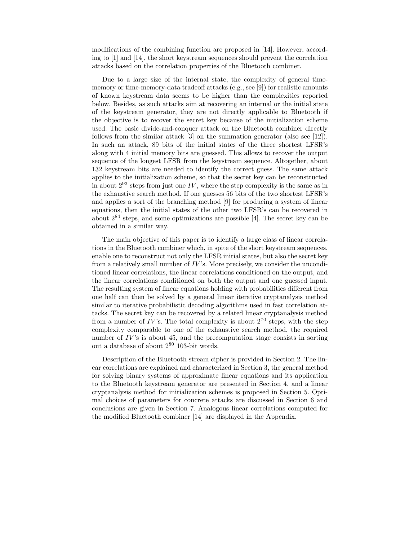modifications of the combining function are proposed in [14]. However, according to [1] and [14], the short keystream sequences should prevent the correlation attacks based on the correlation properties of the Bluetooth combiner.

Due to a large size of the internal state, the complexity of general timememory or time-memory-data tradeoff attacks (e.g., see [9]) for realistic amounts of known keystream data seems to be higher than the complexities reported below. Besides, as such attacks aim at recovering an internal or the initial state of the keystream generator, they are not directly applicable to Bluetooth if the objective is to recover the secret key because of the initialization scheme used. The basic divide-and-conquer attack on the Bluetooth combiner directly follows from the similar attack [3] on the summation generator (also see [12]). In such an attack, 89 bits of the initial states of the three shortest LFSR's along with 4 initial memory bits are guessed. This allows to recover the output sequence of the longest LFSR from the keystream sequence. Altogether, about 132 keystream bits are needed to identify the correct guess. The same attack applies to the initialization scheme, so that the secret key can be reconstructed in about  $2^{93}$  steps from just one IV, where the step complexity is the same as in the exhaustive search method. If one guesses 56 bits of the two shortest LFSR's and applies a sort of the branching method [9] for producing a system of linear equations, then the initial states of the other two LFSR's can be recovered in about 2 <sup>84</sup> steps, and some optimizations are possible [4]. The secret key can be obtained in a similar way.

The main objective of this paper is to identify a large class of linear correlations in the Bluetooth combiner which, in spite of the short keystream sequences, enable one to reconstruct not only the LFSR initial states, but also the secret key from a relatively small number of  $IV$ 's. More precisely, we consider the unconditioned linear correlations, the linear correlations conditioned on the output, and the linear correlations conditioned on both the output and one guessed input. The resulting system of linear equations holding with probabilities different from one half can then be solved by a general linear iterative cryptanalysis method similar to iterative probabilistic decoding algorithms used in fast correlation attacks. The secret key can be recovered by a related linear cryptanalysis method from a number of  $IV$ 's. The total complexity is about  $2^{70}$  steps, with the step complexity comparable to one of the exhaustive search method, the required number of  $IV$ 's is about 45, and the precomputation stage consists in sorting out a database of about 2 <sup>80</sup> 103-bit words.

Description of the Bluetooth stream cipher is provided in Section 2. The linear correlations are explained and characterized in Section 3, the general method for solving binary systems of approximate linear equations and its application to the Bluetooth keystream generator are presented in Section 4, and a linear cryptanalysis method for initialization schemes is proposed in Section 5. Optimal choices of parameters for concrete attacks are discussed in Section 6 and conclusions are given in Section 7. Analogous linear correlations computed for the modified Bluetooth combiner [14] are displayed in the Appendix.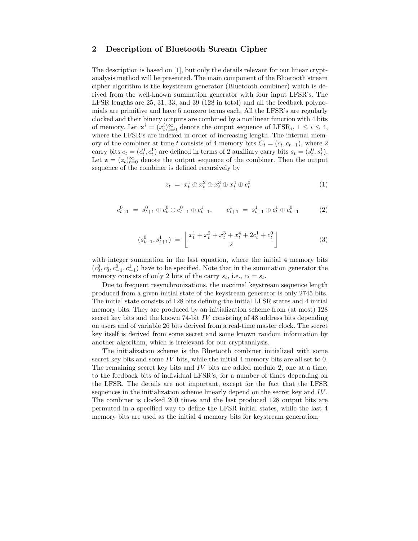# 2 Description of Bluetooth Stream Cipher

The description is based on [1], but only the details relevant for our linear cryptanalysis method will be presented. The main component of the Bluetooth stream cipher algorithm is the keystream generator (Bluetooth combiner) which is derived from the well-known summation generator with four input LFSR's. The LFSR lengths are 25, 31, 33, and 39 (128 in total) and all the feedback polynomials are primitive and have 5 nonzero terms each. All the LFSR's are regularly clocked and their binary outputs are combined by a nonlinear function with 4 bits of memory. Let  $\mathbf{x}^i = (x_t^i)_{t=0}^{\infty}$  denote the output sequence of LFSR<sub>i</sub>,  $1 \le i \le 4$ , where the LFSR's are indexed in order of increasing length. The internal memory of the combiner at time t consists of 4 memory bits  $C_t = (c_t, c_{t-1})$ , where 2 carry bits  $c_t = (c_t^0, c_t^1)$  are defined in terms of 2 auxiliary carry bits  $s_t = (s_t^0, s_t^1)$ . Let  $\mathbf{z} = (z_t)_{t=0}^{\infty}$  denote the output sequence of the combiner. Then the output sequence of the combiner is defined recursively by

$$
z_t = x_t^1 \oplus x_t^2 \oplus x_t^3 \oplus x_t^4 \oplus c_t^0 \tag{1}
$$

$$
c_{t+1}^0 = s_{t+1}^0 \oplus c_t^0 \oplus c_{t-1}^0 \oplus c_{t-1}^1, \qquad c_{t+1}^1 = s_{t+1}^1 \oplus c_t^1 \oplus c_{t-1}^0 \tag{2}
$$

$$
(s_{t+1}^0, s_{t+1}^1) = \left\lfloor \frac{x_t^1 + x_t^2 + x_t^3 + x_t^4 + 2c_t^1 + c_t^0}{2} \right\rfloor \tag{3}
$$

with integer summation in the last equation, where the initial 4 memory bits  $(c_0^0, c_0^1, c_{-1}^0, c_{-1}^1)$  have to be specified. Note that in the summation generator the memory consists of only 2 bits of the carry  $s_t$ , i.e.,  $c_t = s_t$ .

Due to frequent resynchronizations, the maximal keystream sequence length produced from a given initial state of the keystream generator is only 2745 bits. The initial state consists of 128 bits defining the initial LFSR states and 4 initial memory bits. They are produced by an initialization scheme from (at most) 128 secret key bits and the known 74-bit IV consisting of 48 address bits depending on users and of variable 26 bits derived from a real-time master clock. The secret key itself is derived from some secret and some known random information by another algorithm, which is irrelevant for our cryptanalysis.

The initialization scheme is the Bluetooth combiner initialized with some secret key bits and some  $IV$  bits, while the initial 4 memory bits are all set to 0. The remaining secret key bits and  $IV$  bits are added modulo 2, one at a time, to the feedback bits of individual LFSR's, for a number of times depending on the LFSR. The details are not important, except for the fact that the LFSR sequences in the initialization scheme linearly depend on the secret key and IV . The combiner is clocked 200 times and the last produced 128 output bits are permuted in a specified way to define the LFSR initial states, while the last 4 memory bits are used as the initial 4 memory bits for keystream generation.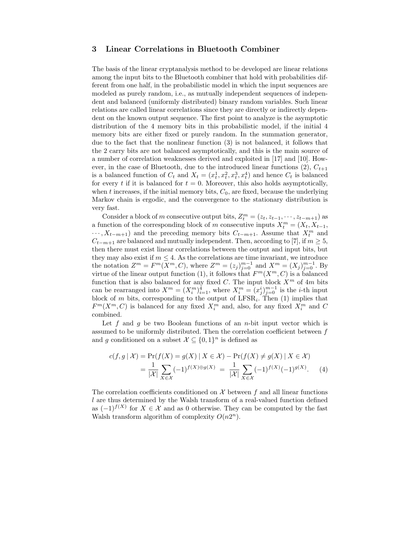## 3 Linear Correlations in Bluetooth Combiner

The basis of the linear cryptanalysis method to be developed are linear relations among the input bits to the Bluetooth combiner that hold with probabilities different from one half, in the probabilistic model in which the input sequences are modeled as purely random, i.e., as mutually independent sequences of independent and balanced (uniformly distributed) binary random variables. Such linear relations are called linear correlations since they are directly or indirectly dependent on the known output sequence. The first point to analyze is the asymptotic distribution of the 4 memory bits in this probabilistic model, if the initial 4 memory bits are either fixed or purely random. In the summation generator, due to the fact that the nonlinear function (3) is not balanced, it follows that the 2 carry bits are not balanced asymptotically, and this is the main source of a number of correlation weaknesses derived and exploited in [17] and [10]. However, in the case of Bluetooth, due to the introduced linear functions  $(2)$ ,  $C_{t+1}$ is a balanced function of  $C_t$  and  $X_t = (x_t^1, x_t^2, x_t^3, x_t^4)$  and hence  $C_t$  is balanced for every t if it is balanced for  $t = 0$ . Moreover, this also holds asymptotically, when  $t$  increases, if the initial memory bits,  $C_0$ , are fixed, because the underlying Markov chain is ergodic, and the convergence to the stationary distribution is very fast.

Consider a block of m consecutive output bits,  $Z_t^m = (z_t, z_{t-1}, \dots, z_{t-m+1})$  as a function of the corresponding block of m consecutive inputs  $X_t^m = (X_t, X_{t-1},$  $\cdots$ ,  $X_{t-m+1}$ ) and the preceding memory bits  $C_{t-m+1}$ . Assume that  $X_t^m$  and  $C_{t-m+1}$  are balanced and mutually independent. Then, according to [7], if  $m \geq 5$ , then there must exist linear correlations between the output and input bits, but they may also exist if  $m \leq 4$ . As the correlations are time invariant, we introduce the notation  $Z^m = F^m(X^m, C)$ , where  $Z^m = (z_j)_{j=0}^{m-1}$  and  $X^m = (X_j)_{j=0}^{m-1}$ . By virtue of the linear output function (1), it follows that  $F^m(X^m, C)$  is a balanced function that is also balanced for any fixed C. The input block  $X^m$  of  $4m$  bits can be rearranged into  $X^m = (X_i^m)_{i=1}^4$ , where  $X_i^m = (x_j^i)_{j=0}^{m-1}$  is the *i*-th input block of m bits, corresponding to the output of  $LFSR_i$ . Then (1) implies that  $F^m(X^m, C)$  is balanced for any fixed  $X_i^m$  and, also, for any fixed  $X_i^m$  and C combined.

Let  $f$  and  $g$  be two Boolean functions of an *n*-bit input vector which is assumed to be uniformly distributed. Then the correlation coefficient between  $f$ and g conditioned on a subset  $\mathcal{X} \subseteq \{0,1\}^n$  is defined as

$$
c(f,g \mid \mathcal{X}) = \Pr(f(X) = g(X) \mid X \in \mathcal{X}) - \Pr(f(X) \neq g(X) \mid X \in \mathcal{X})
$$
  
= 
$$
\frac{1}{|\mathcal{X}|} \sum_{X \in \mathcal{X}} (-1)^{f(X) \oplus g(X)} = \frac{1}{|\mathcal{X}|} \sum_{X \in \mathcal{X}} (-1)^{f(X)} (-1)^{g(X)}.
$$
 (4)

The correlation coefficients conditioned on  $\mathcal X$  between f and all linear functions l are thus determined by the Walsh transform of a real-valued function defined as  $(-1)^{f(X)}$  for  $X \in \mathcal{X}$  and as 0 otherwise. They can be computed by the fast Walsh transform algorithm of complexity  $O(n2^n)$ .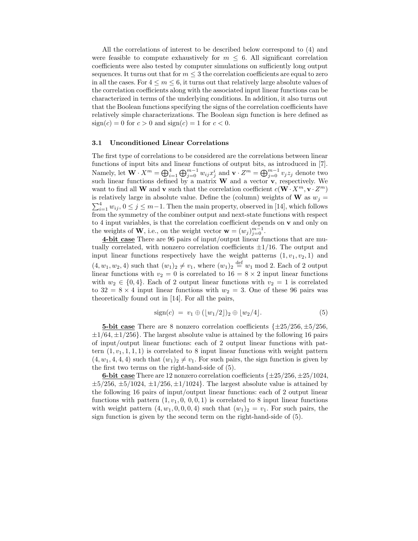All the correlations of interest to be described below correspond to (4) and were feasible to compute exhaustively for  $m \leq 6$ . All significant correlation coefficients were also tested by computer simulations on sufficiently long output sequences. It turns out that for  $m \leq 3$  the correlation coefficients are equal to zero in all the cases. For  $4 \leq m \leq 6$ , it turns out that relatively large absolute values of the correlation coefficients along with the associated input linear functions can be characterized in terms of the underlying conditions. In addition, it also turns out that the Boolean functions specifying the signs of the correlation coefficients have relatively simple characterizations. The Boolean sign function is here defined as  $sign(c) = 0$  for  $c > 0$  and  $sign(c) = 1$  for  $c < 0$ .

#### 3.1 Unconditioned Linear Correlations

The first type of correlations to be considered are the correlations between linear functions of input bits and linear functions of output bits, as introduced in [7]. Namely, let  $\mathbf{W} \cdot X^m = \bigoplus_{i=1}^4 \bigoplus_{j=0}^{m-1} w_{ij} x_j^i$  and  $\mathbf{v} \cdot Z^m = \bigoplus_{j=0}^{m-1} v_j z_j$  denote two such linear functions defined by a matrix  $W$  and a vector  $v$ , respectively. We want to find all **W** and **v** such that the correlation coefficient  $c(\mathbf{W} \cdot X^m, \mathbf{v} \cdot Z^m)$ is relatively large in absolute value. Define the (column) weights of **W** as  $w_j =$  $\sum_{i=1}^{4} w_{ij}$ ,  $0 \le j \le m-1$ . Then the main property, observed in [14], which follows from the symmetry of the combiner output and next-state functions with respect to 4 input variables, is that the correlation coefficient depends on  $\bf{v}$  and only on the weights of **W**, i.e., on the weight vector  $\mathbf{w} = (w_j)_{j=0}^{m-1}$ .

4-bit case There are 96 pairs of input/output linear functions that are mutually correlated, with nonzero correlation coefficients  $\pm 1/16$ . The output and input linear functions respectively have the weight patterns  $(1, v_1, v_2, 1)$  and  $(4, w_1, w_2, 4)$  such that  $(w_1)_2 \neq v_1$ , where  $(w_1)_2 \stackrel{\text{def}}{=} w_1 \mod 2$ . Each of 2 output linear functions with  $v_2 = 0$  is correlated to  $16 = 8 \times 2$  input linear functions with  $w_2 \in \{0, 4\}$ . Each of 2 output linear functions with  $v_2 = 1$  is correlated to  $32 = 8 \times 4$  input linear functions with  $w_2 = 3$ . One of these 96 pairs was theoretically found out in [14]. For all the pairs,

$$
sign(c) = v_1 \oplus (\lfloor w_1/2 \rfloor)_2 \oplus \lfloor w_2/4 \rfloor. \tag{5}
$$

5-bit case There are 8 nonzero correlation coefficients  $\{\pm 25/256, \pm 5/256, \pm 5/256, \pm 5/256, \pm 5/256, \pm 5/256, \pm 5/256, \pm 5/256, \pm 5/256, \pm 5/256, \pm 5/256, \pm 5/256, \pm 5/256, \pm 5/256, \pm 5/256, \pm 5/256, \pm 5/256, \pm 5/256,$  $\pm 1/64, \pm 1/256$ . The largest absolute value is attained by the following 16 pairs of input/output linear functions: each of 2 output linear functions with pattern  $(1, v_1, 1, 1, 1)$  is correlated to 8 input linear functions with weight pattern  $(4, w_1, 4, 4, 4)$  such that  $(w_1)_2 \neq v_1$ . For such pairs, the sign function is given by the first two terms on the right-hand-side of (5).

6-bit case There are 12 nonzero correlation coefficients  $\{\pm 25/256, \pm 25/1024, \pm 25/1024, \pm 25/1024, \pm 25/1024, \pm 25/1024, \pm 25/1024, \pm 25/1024, \pm 25/1024, \pm 25/1024, \pm 25/1024, \pm 25/1024, \pm 25/1024, \pm 25/1024, \pm 25/102$  $\pm 5/256, \pm 5/1024, \pm 1/256, \pm 1/1024$ . The largest absolute value is attained by the following 16 pairs of input/output linear functions: each of 2 output linear functions with pattern  $(1, v_1, 0, 0, 0, 1)$  is correlated to 8 input linear functions with weight pattern  $(4, w_1, 0, 0, 0, 4)$  such that  $(w_1)_2 = v_1$ . For such pairs, the sign function is given by the second term on the right-hand-side of (5).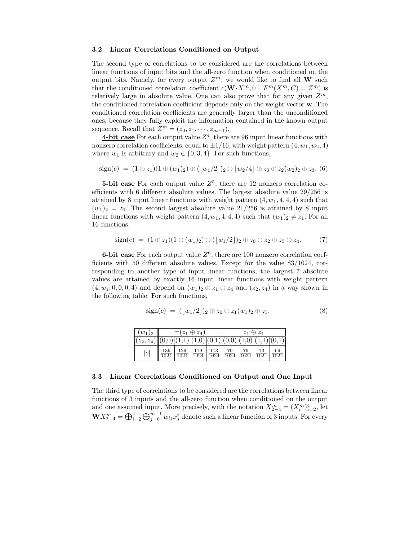#### 3.2 Linear Correlations Conditioned on Output

The second type of correlations to be considered are the correlations between linear functions of input bits and the all-zero function when conditioned on the output bits. Namely, for every output  $Z^m$ , we would like to find all W such that the conditioned correlation coefficient  $c(\mathbf{W}\cdot X^m, 0 \mid F^m(X^m, C) = Z^m)$  is relatively large in absolute value. One can also prove that for any given  $Z^m$ , the conditioned correlation coefficient depends only on the weight vector w. The conditioned correlation coefficients are generally larger than the unconditioned ones, because they fully exploit the information contained in the known output sequence. Recall that  $Z^m = (z_0, z_1, \dots, z_{m-1}).$ 

**4-bit case** For each output value  $Z^4$ , there are 96 input linear functions with nonzero correlation coefficients, equal to  $\pm 1/16$ , with weight pattern  $(4, w_1, w_2, 4)$ where  $w_1$  is arbitrary and  $w_2 \in \{0, 3, 4\}$ . For such functions,

$$
\text{sign}(c) = (1 \oplus z_1)(1 \oplus (w_1)_2) \oplus ([w_1/2])_2 \oplus [w_2/4] \oplus z_0 \oplus z_2(w_2)_2 \oplus z_3. (6)
$$

**5-bit case** For each output value  $Z^5$ , there are 12 nonzero correlation coefficients with 6 different absolute values. The largest absolute value 29/256 is attained by 8 input linear functions with weight pattern  $(4, w_1, 4, 4, 4)$  such that  $(w_1)_2 = z_1$ . The second largest absolute value 21/256 is attained by 8 input linear functions with weight pattern  $(4, w_1, 4, 4, 4)$  such that  $(w_1)_2 \neq z_1$ . For all 16 functions,

$$
sign(c) = (1 \oplus z_1)(1 \oplus (w_1)_2) \oplus ([w_1/2])_2 \oplus z_0 \oplus z_2 \oplus z_3 \oplus z_4. \tag{7}
$$

**6-bit case** For each output value  $Z^6$ , there are 100 nonzero correlation coefficients with 50 different absolute values. Except for the value 83/1024, corresponding to another type of input linear functions, the largest 7 absolute values are attained by exactly 16 input linear functions with weight pattern  $(4, w_1, 0, 0, 0, 4)$  and depend on  $(w_1)_2 \oplus z_1 \oplus z_4$  and  $(z_2, z_4)$  in a way shown in the following table. For such functions,

$$
sign(c) = ([w_1/2])_2 \oplus z_0 \oplus z_1(w_1)_2 \oplus z_5. \tag{8}
$$

| $(w_1)_2$                                                      | $\neg(z_1 \oplus z_4)$ |             |             |             | $z_1 \oplus z_4$ |            |            |    |
|----------------------------------------------------------------|------------------------|-------------|-------------|-------------|------------------|------------|------------|----|
| $(z_2, z_4)  (0,0) (1,1) (1,0) (0,1) (0,0) (1,0) (1,1) (0,1) $ |                        |             |             |             |                  |            |            |    |
| c                                                              | <u>139</u><br>1024     | 129<br>1024 | 119<br>1024 | 113<br>1024 | 79<br>1024       | 79<br>1024 | 73<br>1024 | 69 |

#### 3.3 Linear Correlations Conditioned on Output and One Input

The third type of correlations to be considered are the correlations between linear functions of 3 inputs and the all-zero function when conditioned on the output and one assumed input. More precisely, with the notation  $X_{2-4}^m = (X_i^m)_{i=2}^4$ , let  $\mathbf{W} X^m_{2-4} = \bigoplus_{i=2}^4 \bigoplus_{j=0}^{m-1} w_{ij} x^i_j$  denote such a linear function of 3 inputs. For every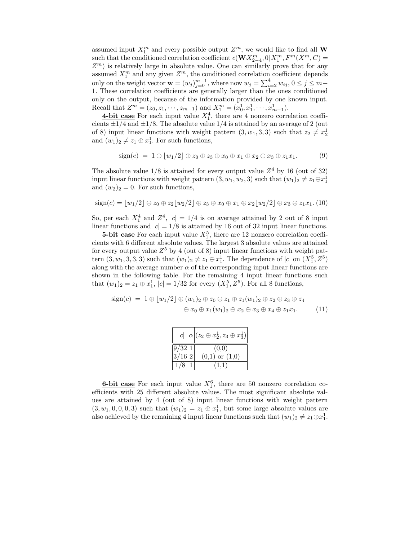assumed input  $X_1^m$  and every possible output  $Z^m$ , we would like to find all **W** such that the conditioned correlation coefficient  $c(\mathbf{W} \cdot X^m_{2-4}, 0 | X^m_1, F^m(X^m, C))$  $Z<sup>m</sup>$ ) is relatively large in absolute value. One can similarly prove that for any assumed  $X_1^m$  and any given  $Z^m$ , the conditioned correlation coefficient depends only on the weight vector  $\mathbf{w} = (w_j)_{j=0}^{m-1}$ , where now  $w_j = \sum_{i=2}^4 w_{ij}$ ,  $0 \le j \le m-1$ 1. These correlation coefficients are generally larger than the ones conditioned only on the output, because of the information provided by one known input. Recall that  $Z^m = (z_0, z_1, \dots, z_{m-1})$  and  $X_1^m = (x_0^1, x_1^1, \dots, x_{m-1}^1)$ .

**4-bit case** For each input value  $X_1^4$ , there are 4 nonzero correlation coefficients  $\pm 1/4$  and  $\pm 1/8$ . The absolute value  $1/4$  is attained by an average of 2 (out of 8) input linear functions with weight pattern  $(3, w_1, 3, 3)$  such that  $z_2 \neq x_2^1$ and  $(w_1)_2 \neq z_1 \oplus x_1^1$ . For such functions,

$$
\text{sign}(c) = 1 \oplus \lfloor w_1/2 \rfloor \oplus z_0 \oplus z_3 \oplus x_0 \oplus x_1 \oplus x_2 \oplus x_3 \oplus z_1 x_1. \tag{9}
$$

The absolute value  $1/8$  is attained for every output value  $Z<sup>4</sup>$  by 16 (out of 32) input linear functions with weight pattern  $(3, w_1, w_2, 3)$  such that  $(w_1)_2 \neq z_1 \oplus x_1^1$ and  $(w_2)_2 = 0$ . For such functions,

$$
\text{sign}(c) = \lfloor w_1/2 \rfloor \oplus z_0 \oplus z_2 \lfloor w_2/2 \rfloor \oplus z_3 \oplus x_0 \oplus x_1 \oplus x_2 \lfloor w_2/2 \rfloor \oplus x_3 \oplus z_1x_1. \tag{10}
$$

So, per each  $X_1^4$  and  $Z^4$ ,  $|c| = 1/4$  is on average attained by 2 out of 8 input linear functions and  $|c| = 1/8$  is attained by 16 out of 32 input linear functions.

**5-bit case** For each input value  $X_1^5$ , there are 12 nonzero correlation coefficients with 6 different absolute values. The largest 3 absolute values are attained for every output value  $Z^5$  by 4 (out of 8) input linear functions with weight pattern  $(3, w_1, 3, 3, 3)$  such that  $(w_1)_2 \neq z_1 \oplus x_1^1$ . The dependence of  $|c|$  on  $(X_1^5, Z^5)$ along with the average number  $\alpha$  of the corresponding input linear functions are shown in the following table. For the remaining 4 input linear functions such that  $(w_1)_2 = z_1 \oplus x_1^1$ ,  $|c| = 1/32$  for every  $(X_1^5, Z^5)$ . For all 8 functions,

$$
\text{sign}(c) = 1 \oplus \lfloor w_1/2 \rfloor \oplus (w_1)_2 \oplus z_0 \oplus z_1 \oplus z_1(w_1)_2 \oplus z_2 \oplus z_3 \oplus z_4
$$
  

$$
\oplus x_0 \oplus x_1(w_1)_2 \oplus x_2 \oplus x_3 \oplus x_4 \oplus z_1x_1. \tag{11}
$$

|                               | $ c $ $\alpha$ $(z_2 \oplus x_2^1, z_3 \oplus x_3^1)$ |
|-------------------------------|-------------------------------------------------------|
| 9/32 1                        | (0.0)                                                 |
| $3\overline{7}16\overline{2}$ | $(0,1)$ or $(1,0)$                                    |
|                               | (11)                                                  |

**6-bit case** For each input value  $X_1^6$ , there are 50 nonzero correlation coefficients with 25 different absolute values. The most significant absolute values are attained by 4 (out of 8) input linear functions with weight pattern  $(3, w_1, 0, 0, 0, 3)$  such that  $(w_1)_2 = z_1 \oplus x_1^1$ , but some large absolute values are also achieved by the remaining 4 input linear functions such that  $(w_1)_2 \neq z_1 \oplus x_1^1$ .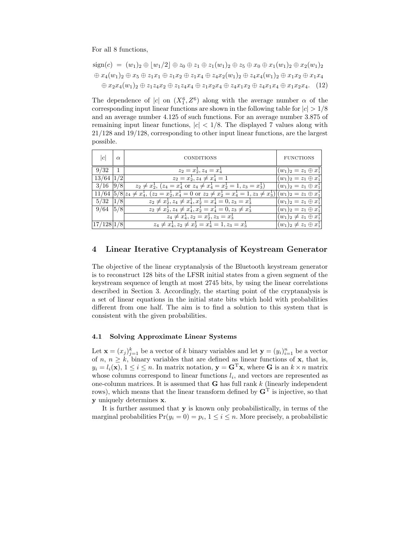For all 8 functions,

$$
sign(c) = (w_1)_2 \oplus [w_1/2] \oplus z_0 \oplus z_1 \oplus z_1(w_1)_2 \oplus z_5 \oplus x_0 \oplus x_1(w_1)_2 \oplus x_2(w_1)_2
$$
  

$$
\oplus x_4(w_1)_2 \oplus x_5 \oplus z_1x_1 \oplus z_1x_2 \oplus z_1x_4 \oplus z_4x_2(w_1)_2 \oplus z_4x_4(w_1)_2 \oplus x_1x_2 \oplus x_1x_4
$$
  

$$
\oplus x_2x_4(w_1)_2 \oplus z_1z_4x_2 \oplus z_1z_4x_4 \oplus z_1x_2x_4 \oplus z_4x_1x_2 \oplus z_4x_1x_4 \oplus x_1x_2x_4.
$$
 (12)

The dependence of |c| on  $(X_1^6, Z^6)$  along with the average number  $\alpha$  of the corresponding input linear functions are shown in the following table for  $|c| > 1/8$ and an average number 4.125 of such functions. For an average number 3.875 of remaining input linear functions,  $|c| < 1/8$ . The displayed 7 values along with 21/128 and 19/128, corresponding to other input linear functions, are the largest possible.

| c      | $\alpha$ | <b>CONDITIONS</b>                                                                                                                               | <b>FUNCTIONS</b>                |
|--------|----------|-------------------------------------------------------------------------------------------------------------------------------------------------|---------------------------------|
| 9/32   |          | $z_2 = x_2, z_4 = x_4$                                                                                                                          | $(w_1)_2 = z_1 \oplus x_1^2$    |
| 13/64  |          | $z_2 = x_2^{\star}, z_4 \neq x_4^{\star} = 1$                                                                                                   | $(w_1)_2 = z_1 \oplus x_1^2$    |
| 3/16   | 9/8      | $z_2 \neq x_2^1$ , $(z_4 = x_4^1 \text{ or } z_4 \neq x_4^1 = x_2^1 = 1, z_3 = x_3^1)$                                                          | $(w_1)_2 = z_1 \oplus x_1^2$    |
|        |          | $11/64$ $5/8$ $z_4 \neq x_4^1$ , $(z_2 = x_2^1, x_4^1 = 0 \text{ or } z_2 \neq x_2^1 = x_4^1 = 1, z_3 \neq x_3^1$ $ (w_1)_2 = z_1 \oplus x_1^1$ |                                 |
| 5/32   |          | $z_2 \neq x_2^1, z_4 \neq x_4^1, x_2^1 = x_4^1 = 0, z_3 = x_3^1$                                                                                | $(w_1)_2 = z_1 \oplus x_1^2$    |
| 9/64   | 5/8      | $z_2 \neq x_2^1, z_4 \neq x_4^1, x_2^1 = x_4^1 = 0, z_3 \neq x_3^1$                                                                             | $(w_1)_2 = z_1 \oplus x_1^2$    |
|        |          | $z_4 \neq x_4^1, z_2 = x_2^1, z_3 = x_3^1$                                                                                                      | $(w_1)_2 \neq z_1 \oplus x_1^2$ |
| 17/128 |          | $z_4 \neq x_4^1, z_2 \neq x_2^1 = x_4^1 = 1, z_3 = x_3^1$                                                                                       | $(w_1)_2 \neq z_1 \oplus x_1^2$ |

# Linear Iterative Cryptanalysis of Keystream Generator

The objective of the linear cryptanalysis of the Bluetooth keystream generator is to reconstruct 128 bits of the LFSR initial states from a given segment of the keystream sequence of length at most 2745 bits, by using the linear correlations described in Section 3. Accordingly, the starting point of the cryptanalysis is a set of linear equations in the initial state bits which hold with probabilities different from one half. The aim is to find a solution to this system that is consistent with the given probabilities.

#### 4.1 Solving Approximate Linear Systems

Let  $\mathbf{x} = (x_j)_{j=1}^k$  be a vector of k binary variables and let  $\mathbf{y} = (y_i)_{i=1}^n$  be a vector of n,  $n \geq k$ , binary variables that are defined as linear functions of **x**, that is,  $y_i = l_i(\mathbf{x}), 1 \leq i \leq n$ . In matrix notation,  $\mathbf{y} = \mathbf{G}^T \mathbf{x}$ , where **G** is an  $k \times n$  matrix whose columns correspond to linear functions  $l_i$ , and vectors are represented as one-column matrices. It is assumed that  $G$  has full rank  $k$  (linearly independent rows), which means that the linear transform defined by  $\mathbf{G}^{\mathrm{T}}$  is injective, so that y uniquely determines x.

It is further assumed that y is known only probabilistically, in terms of the marginal probabilities  $Pr(y_i = 0) = p_i, 1 \le i \le n$ . More precisely, a probabilistic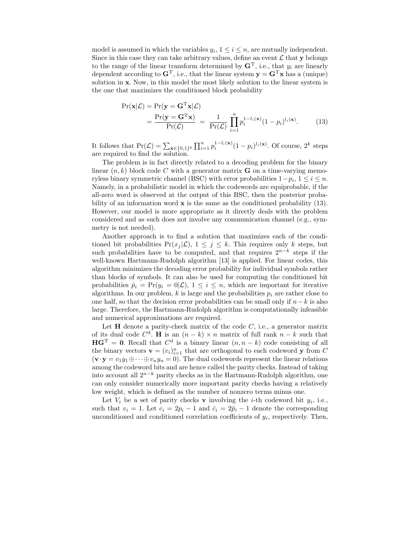model is assumed in which the variables  $y_i$ ,  $1 \le i \le n$ , are mutually independent. Since in this case they can take arbitrary values, define an event  $\mathcal L$  that y belongs to the range of the linear transform determined by  $\mathbf{G}^{\mathrm{T}}$ , i.e., that  $y_i$  are linearly dependent according to  $\mathbf{G}^{\mathrm{T}}$ , i.e., that the linear system  $\mathbf{y} = \mathbf{G}^{\mathrm{T}}\mathbf{x}$  has a (unique) solution in x. Now, in this model the most likely solution to the linear system is the one that maximizes the conditioned block probability

$$
\Pr(\mathbf{x}|\mathcal{L}) = \Pr(\mathbf{y} = \mathbf{G}^{\mathrm{T}}\mathbf{x}|\mathcal{L}) \n= \frac{\Pr(\mathbf{y} = \mathbf{G}^{\mathrm{T}}\mathbf{x})}{\Pr(\mathcal{L})} = \frac{1}{\Pr(\mathcal{L})} \prod_{i=1}^{n} p_i^{1-l_i(\mathbf{x})} (1-p_i)^{l_i(\mathbf{x})}.
$$
\n(13)

It follows that  $Pr(\mathcal{L}) = \sum_{\mathbf{x} \in \{0,1\}^k} \prod_{i=1}^n p_i^{1-l_i(\mathbf{x})} (1-p_i)^{l_i(\mathbf{x})}$ . Of course,  $2^k$  steps are required to find the solution.

The problem is in fact directly related to a decoding problem for the binary linear  $(n, k)$  block code C with a generator matrix **G** on a time-varying memoryless binary symmetric channel (BSC) with error probabilities  $1-p_i, 1 \leq i \leq n$ . Namely, in a probabilistic model in which the codewords are equiprobable, if the all-zero word is observed at the output of this BSC, then the posterior probability of an information word  $\bf{x}$  is the same as the conditioned probability (13). However, our model is more appropriate as it directly deals with the problem considered and as such does not involve any communication channel (e.g., symmetry is not needed).

Another approach is to find a solution that maximizes each of the conditioned bit probabilities  $Pr(x_i | \mathcal{L}), 1 \leq j \leq k$ . This requires only k steps, but such probabilities have to be computed, and that requires  $2^{n-k}$  steps if the well-known Hartmann-Rudolph algorithm [13] is applied. For linear codes, this algorithm minimizes the decoding error probability for individual symbols rather than blocks of symbols. It can also be used for computing the conditioned bit probabilities  $\hat{p}_i = \Pr(y_i = 0|\mathcal{L}), 1 \leq i \leq n$ , which are important for iterative algorithms. In our problem,  $k$  is large and the probabilities  $p_i$  are rather close to one half, so that the decision error probabilities can be small only if  $n-k$  is also large. Therefore, the Hartmann-Rudolph algorithm is computationally infeasible and numerical approximations are required.

Let  $H$  denote a parity-check matrix of the code  $C$ , i.e., a generator matrix of its dual code  $C^d$ . **H** is an  $(n - k) \times n$  matrix of full rank  $n - k$  such that  $\mathbf{H} \mathbf{G}^{\mathrm{T}} = \mathbf{0}$ . Recall that  $C^{\mathrm{d}}$  is a binary linear  $(n, n - k)$  code consisting of all the binary vectors  $\mathbf{v} = (v_i)_{i=1}^n$  that are orthogonal to each codeword y from C  $(\mathbf{v} \cdot \mathbf{y} = v_1y_1 \oplus \cdots \oplus v_ny_n = 0)$ . The dual codewords represent the linear relations among the codeword bits and are hence called the parity checks. Instead of taking into account all  $2^{n-k}$  parity checks as in the Hartmann-Rudolph algorithm, one can only consider numerically more important parity checks having a relatively low weight, which is defined as the number of nonzero terms minus one.

Let  $V_i$  be a set of parity checks **v** involving the *i*-th codeword bit  $y_i$ , i.e., such that  $v_i = 1$ . Let  $c_i = 2p_i - 1$  and  $\hat{c}_i = 2\hat{p}_i - 1$  denote the corresponding unconditioned and conditioned correlation coefficients of  $y_i$ , respectively. Then,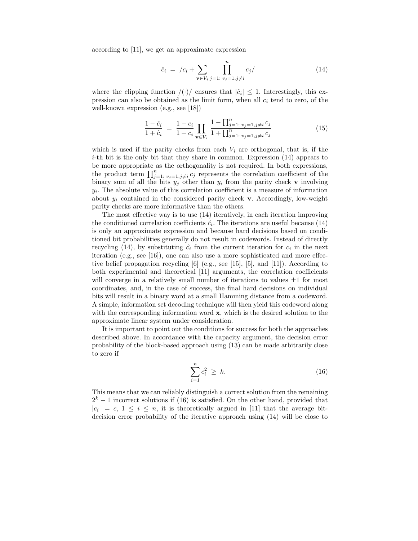according to [11], we get an approximate expression

$$
\hat{c}_i = /c_i + \sum_{\mathbf{v} \in V_i} \prod_{j=1, j \neq i}^n c_j / \tag{14}
$$

where the clipping function  $/(\cdot)/$  ensures that  $|\hat{c}_i| \leq 1$ . Interestingly, this expression can also be obtained as the limit form, when all  $c_i$  tend to zero, of the well-known expression (e.g., see [18])

$$
\frac{1-\hat{c}_i}{1+\hat{c}_i} = \frac{1-c_i}{1+c_i} \prod_{\mathbf{v}\in V_i} \frac{1-\prod_{j=1}^n v_j = 1, j\neq i} \frac{c_j}{1+\prod_{j=1}^n v_j = 1, j\neq i} \frac{c_j}{c_j} \tag{15}
$$

which is used if the parity checks from each  $V_i$  are orthogonal, that is, if the  $i$ -th bit is the only bit that they share in common. Expression  $(14)$  appears to be more appropriate as the orthogonality is not required. In both expressions, the product term  $\prod_{j=1}^n y_{j=1,j\neq i} c_j$  represents the correlation coefficient of the binary sum of all the bits  $y_j$  other than  $y_i$  from the parity check **v** involving  $y_i$ . The absolute value of this correlation coefficient is a measure of information about  $y_i$  contained in the considered parity check v. Accordingly, low-weight parity checks are more informative than the others.

The most effective way is to use (14) iteratively, in each iteration improving the conditioned correlation coefficients  $\hat{c}_i$ . The iterations are useful because (14) is only an approximate expression and because hard decisions based on conditioned bit probabilities generally do not result in codewords. Instead of directly recycling (14), by substituting  $\hat{c}_i$  from the current iteration for  $c_i$  in the next iteration (e.g., see [16]), one can also use a more sophisticated and more effective belief propagation recycling [6] (e.g., see [15], [5], and [11]). According to both experimental and theoretical [11] arguments, the correlation coefficients will converge in a relatively small number of iterations to values  $\pm 1$  for most coordinates, and, in the case of success, the final hard decisions on individual bits will result in a binary word at a small Hamming distance from a codeword. A simple, information set decoding technique will then yield this codeword along with the corresponding information word  $x$ , which is the desired solution to the approximate linear system under consideration.

It is important to point out the conditions for success for both the approaches described above. In accordance with the capacity argument, the decision error probability of the block-based approach using (13) can be made arbitrarily close to zero if

$$
\sum_{i=1}^{n} c_i^2 \ge k. \tag{16}
$$

This means that we can reliably distinguish a correct solution from the remaining  $2<sup>k</sup> - 1$  incorrect solutions if (16) is satisfied. On the other hand, provided that  $|c_i| = c, 1 \le i \le n$ , it is theoretically argued in [11] that the average bitdecision error probability of the iterative approach using (14) will be close to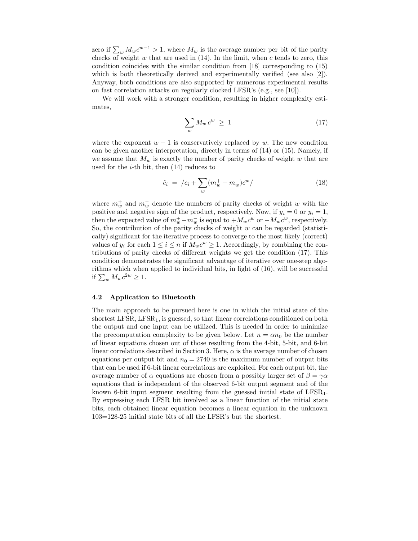zero if  $\sum_{w} M_{w} c^{w-1} > 1$ , where  $M_{w}$  is the average number per bit of the parity checks of weight  $w$  that are used in  $(14)$ . In the limit, when  $c$  tends to zero, this condition coincides with the similar condition from [18] corresponding to (15) which is both theoretically derived and experimentally verified (see also [2]). Anyway, both conditions are also supported by numerous experimental results on fast correlation attacks on regularly clocked LFSR's (e.g., see [10]).

We will work with a stronger condition, resulting in higher complexity estimates,

$$
\sum_{w} M_w c^w \ge 1 \tag{17}
$$

where the exponent  $w - 1$  is conservatively replaced by w. The new condition can be given another interpretation, directly in terms of (14) or (15). Namely, if we assume that  $M_w$  is exactly the number of parity checks of weight w that are used for the  $i$ -th bit, then  $(14)$  reduces to

$$
\hat{c}_i = /c_i + \sum_{w} (m_w^+ - m_w^-)c^w / \tag{18}
$$

where  $m_w^+$  and  $m_w^-$  denote the numbers of parity checks of weight w with the positive and negative sign of the product, respectively. Now, if  $y_i = 0$  or  $y_i = 1$ , then the expected value of  $m_w^+ - m_w^-$  is equal to  $+ M_w c^w$  or  $- M_w c^w$ , respectively. So, the contribution of the parity checks of weight  $w$  can be regarded (statistically) significant for the iterative process to converge to the most likely (correct) values of  $y_i$  for each  $1 \leq i \leq n$  if  $M_w c^w \geq 1$ . Accordingly, by combining the contributions of parity checks of different weights we get the condition (17). This condition demonstrates the significant advantage of iterative over one-step algorithms which when applied to individual bits, in light of (16), will be successful if  $\sum_{w} M_{w} c^{2w} \geq 1$ .

#### 4.2 Application to Bluetooth

The main approach to be pursued here is one in which the initial state of the shortest LFSR,  $LFSR_1$ , is guessed, so that linear correlations conditioned on both the output and one input can be utilized. This is needed in order to minimize the precomputation complexity to be given below. Let  $n = \alpha n_0$  be the number of linear equations chosen out of those resulting from the 4-bit, 5-bit, and 6-bit linear correlations described in Section 3. Here,  $\alpha$  is the average number of chosen equations per output bit and  $n_0 = 2740$  is the maximum number of output bits that can be used if 6-bit linear correlations are exploited. For each output bit, the average number of  $\alpha$  equations are chosen from a possibly larger set of  $\beta = \gamma \alpha$ equations that is independent of the observed 6-bit output segment and of the known 6-bit input segment resulting from the guessed initial state of  $LFSR<sub>1</sub>$ . By expressing each LFSR bit involved as a linear function of the initial state bits, each obtained linear equation becomes a linear equation in the unknown 103=128-25 initial state bits of all the LFSR's but the shortest.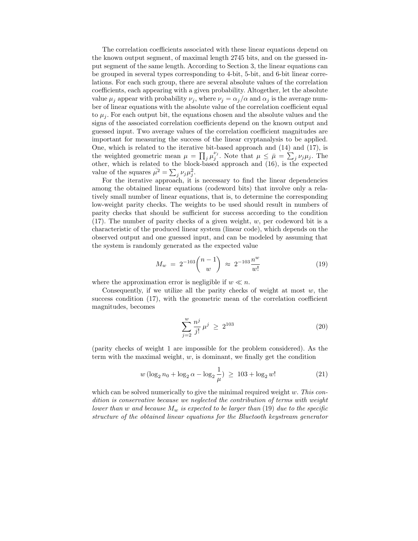The correlation coefficients associated with these linear equations depend on the known output segment, of maximal length 2745 bits, and on the guessed input segment of the same length. According to Section 3, the linear equations can be grouped in several types corresponding to 4-bit, 5-bit, and 6-bit linear correlations. For each such group, there are several absolute values of the correlation coefficients, each appearing with a given probability. Altogether, let the absolute value  $\mu_j$  appear with probability  $\nu_j$ , where  $\nu_j = \alpha_j/\alpha$  and  $\alpha_j$  is the average number of linear equations with the absolute value of the correlation coefficient equal to  $\mu_i$ . For each output bit, the equations chosen and the absolute values and the signs of the associated correlation coefficients depend on the known output and guessed input. Two average values of the correlation coefficient magnitudes are important for measuring the success of the linear cryptanalysis to be applied. One, which is related to the iterative bit-based approach and (14) and (17), is the weighted geometric mean  $\mu = \prod_j \mu_j^{\nu_j}$ . Note that  $\mu \leq \bar{\mu} = \sum_j \nu_j \mu_j$ . The other, which is related to the block-based approach and  $(16)$ , is the expected value of the squares  $\bar{\mu}^2 = \sum_j \nu_j \mu_j^2$ .

For the iterative approach, it is necessary to find the linear dependencies among the obtained linear equations (codeword bits) that involve only a relatively small number of linear equations, that is, to determine the corresponding low-weight parity checks. The weights to be used should result in numbers of parity checks that should be sufficient for success according to the condition (17). The number of parity checks of a given weight, w, per codeword bit is a characteristic of the produced linear system (linear code), which depends on the observed output and one guessed input, and can be modeled by assuming that the system is randomly generated as the expected value

$$
M_w = 2^{-103} \binom{n-1}{w} \approx 2^{-103} \frac{n^w}{w!}
$$
 (19)

where the approximation error is negligible if  $w \ll n$ .

Consequently, if we utilize all the parity checks of weight at most  $w$ , the success condition (17), with the geometric mean of the correlation coefficient magnitudes, becomes

$$
\sum_{j=2}^{w} \frac{n^j}{j!} \mu^j \ge 2^{103} \tag{20}
$$

(parity checks of weight 1 are impossible for the problem considered). As the term with the maximal weight,  $w$ , is dominant, we finally get the condition

$$
w(\log_2 n_0 + \log_2 \alpha - \log_2 \frac{1}{\mu}) \ge 103 + \log_2 w! \tag{21}
$$

which can be solved numerically to give the minimal required weight  $w$ . This condition is conservative because we neglected the contribution of terms with weight lower than w and because  $M_w$  is expected to be larger than (19) due to the specific structure of the obtained linear equations for the Bluetooth keystream generator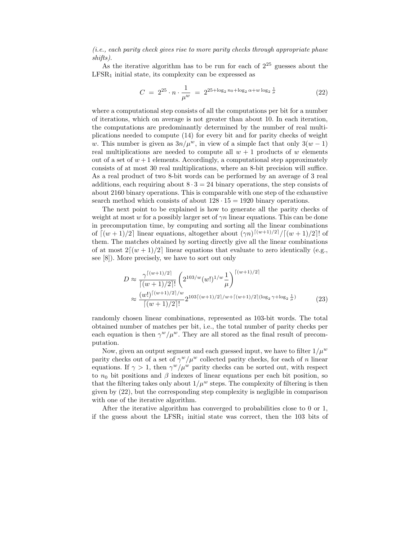(i.e., each parity check gives rise to more parity checks through appropriate phase shifts).

As the iterative algorithm has to be run for each of  $2^{25}$  guesses about the  $LFSR<sub>1</sub>$  initial state, its complexity can be expressed as

$$
C = 2^{25} \cdot n \cdot \frac{1}{\mu^w} = 2^{25 + \log_2 n_0 + \log_2 \alpha + w \log_2 \frac{1}{\mu}}
$$
 (22)

where a computational step consists of all the computations per bit for a number of iterations, which on average is not greater than about 10. In each iteration, the computations are predominantly determined by the number of real multiplications needed to compute (14) for every bit and for parity checks of weight w. This number is given as  $3n/\mu^w$ , in view of a simple fact that only  $3(w-1)$ real multiplications are needed to compute all  $w + 1$  products of w elements out of a set of  $w+1$  elements. Accordingly, a computational step approximately consists of at most 30 real multiplications, where an 8-bit precision will suffice. As a real product of two 8-bit words can be performed by an average of 3 real additions, each requiring about  $8 \cdot 3 = 24$  binary operations, the step consists of about 2160 binary operations. This is comparable with one step of the exhaustive search method which consists of about  $128 \cdot 15 = 1920$  binary operations.

The next point to be explained is how to generate all the parity checks of weight at most w for a possibly larger set of  $\gamma n$  linear equations. This can be done in precomputation time, by computing and sorting all the linear combinations of  $\lceil (w+1)/2 \rceil$  linear equations, altogether about  $(\gamma n)^{\lceil (w+1)/2 \rceil}/\lceil (w+1)/2 \rceil$ ! of them. The matches obtained by sorting directly give all the linear combinations of at most  $2[(w + 1)/2]$  linear equations that evaluate to zero identically (e.g., see [8]). More precisely, we have to sort out only

$$
D \approx \frac{\gamma^{\lceil (w+1)/2 \rceil}}{\lceil (w+1)/2 \rceil!} \left( 2^{103/w} (w!)^{1/w} \frac{1}{\mu} \right)^{\lceil (w+1)/2 \rceil} \approx \frac{(w!)^{\lceil (w+1)/2 \rceil/w}}{\lceil (w+1)/2 \rceil!} 2^{103 \lceil (w+1)/2 \rceil / w + \lceil (w+1)/2 \rceil (\log_2 \gamma + \log_2 \frac{1}{\mu})} \tag{23}
$$

randomly chosen linear combinations, represented as 103-bit words. The total obtained number of matches per bit, i.e., the total number of parity checks per each equation is then  $\gamma^{w}/\mu^{w}$ . They are all stored as the final result of precomputation.

Now, given an output segment and each guessed input, we have to filter  $1/\mu^w$ parity checks out of a set of  $\gamma^w/\mu^w$  collected parity checks, for each of n linear equations. If  $\gamma > 1$ , then  $\gamma^{w}/\mu^{w}$  parity checks can be sorted out, with respect to  $n_0$  bit positions and  $\beta$  indexes of linear equations per each bit position, so that the filtering takes only about  $1/\mu^w$  steps. The complexity of filtering is then given by (22), but the corresponding step complexity is negligible in comparison with one of the iterative algorithm.

After the iterative algorithm has converged to probabilities close to 0 or 1, if the guess about the  $LFSR<sub>1</sub>$  initial state was correct, then the 103 bits of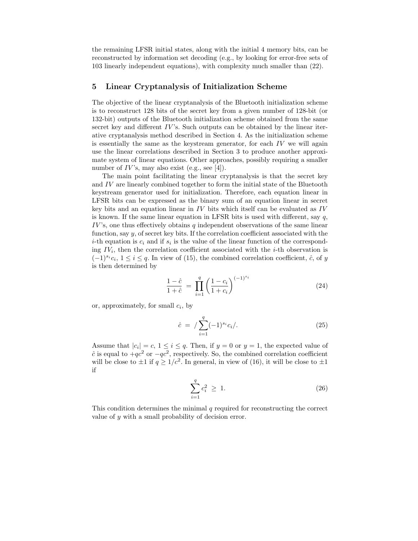the remaining LFSR initial states, along with the initial 4 memory bits, can be reconstructed by information set decoding (e.g., by looking for error-free sets of 103 linearly independent equations), with complexity much smaller than (22).

## 5 Linear Cryptanalysis of Initialization Scheme

The objective of the linear cryptanalysis of the Bluetooth initialization scheme is to reconstruct 128 bits of the secret key from a given number of 128-bit (or 132-bit) outputs of the Bluetooth initialization scheme obtained from the same secret key and different  $IV$ 's. Such outputs can be obtained by the linear iterative cryptanalysis method described in Section 4. As the initialization scheme is essentially the same as the keystream generator, for each  $IV$  we will again use the linear correlations described in Section 3 to produce another approximate system of linear equations. Other approaches, possibly requiring a smaller number of  $IV$ 's, may also exist (e.g., see [4]).

The main point facilitating the linear cryptanalysis is that the secret key and IV are linearly combined together to form the initial state of the Bluetooth keystream generator used for initialization. Therefore, each equation linear in LFSR bits can be expressed as the binary sum of an equation linear in secret key bits and an equation linear in IV bits which itself can be evaluated as IV is known. If the same linear equation in LFSR bits is used with different, say  $q$ ,  $IV$ 's, one thus effectively obtains q independent observations of the same linear function, say y, of secret key bits. If the correlation coefficient associated with the *i*-th equation is  $c_i$  and if  $s_i$  is the value of the linear function of the corresponding  $IV_i$ , then the correlation coefficient associated with the *i*-th observation is  $(-1)^{s_i}c_i, 1 \leq i \leq q$ . In view of (15), the combined correlation coefficient,  $\hat{c}$ , of y is then determined by

$$
\frac{1-\hat{c}}{1+\hat{c}} = \prod_{i=1}^{q} \left(\frac{1-c_i}{1+c_i}\right)^{(-1)^{s_i}}
$$
(24)

or, approximately, for small  $c_i$ , by

$$
\hat{c} = / \sum_{i=1}^{q} (-1)^{s_i} c_i /.
$$
 (25)

Assume that  $|c_i| = c, 1 \le i \le q$ . Then, if  $y = 0$  or  $y = 1$ , the expected value of  $\hat{c}$  is equal to  $+qc^2$  or  $-qc^2$ , respectively. So, the combined correlation coefficient will be close to  $\pm 1$  if  $q \geq 1/c^2$ . In general, in view of (16), it will be close to  $\pm 1$ if

$$
\sum_{i=1}^{q} c_i^2 \ge 1. \tag{26}
$$

This condition determines the minimal q required for reconstructing the correct value of y with a small probability of decision error.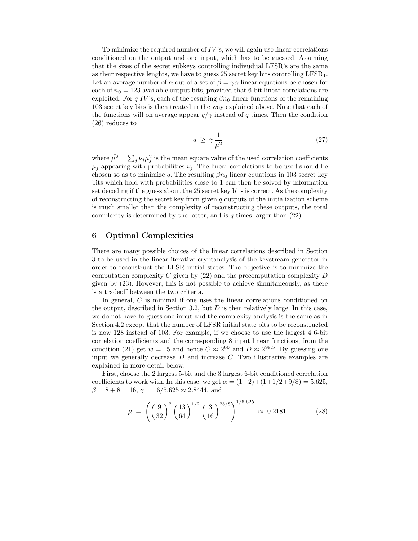To minimize the required number of  $IV$ 's, we will again use linear correlations conditioned on the output and one input, which has to be guessed. Assuming that the sizes of the secret subkeys controlling indivudual LFSR's are the same as their respective lenghts, we have to guess  $25$  secret key bits controlling  $LFSR_1$ . Let an average number of  $\alpha$  out of a set of  $\beta = \gamma \alpha$  linear equations be chosen for each of  $n_0 = 123$  available output bits, provided that 6-bit linear correlations are exploited. For q IV's, each of the resulting  $\beta n_0$  linear functions of the remaining 103 secret key bits is then treated in the way explained above. Note that each of the functions will on average appear  $q/\gamma$  instead of q times. Then the condition (26) reduces to

$$
q \ge \gamma \frac{1}{\bar{\mu}^2} \tag{27}
$$

where  $\bar{\mu}^2 = \sum_j \nu_j \mu_j^2$  is the mean square value of the used correlation coefficients  $\mu_j$  appearing with probabilities  $\nu_j$ . The linear correlations to be used should be chosen so as to minimize q. The resulting  $\beta n_0$  linear equations in 103 secret key bits which hold with probabilities close to 1 can then be solved by information set decoding if the guess about the 25 secret key bits is correct. As the complexity of reconstructing the secret key from given  $q$  outputs of the initialization scheme is much smaller than the complexity of reconstructing these outputs, the total complexity is determined by the latter, and is  $q$  times larger than  $(22)$ .

## 6 Optimal Complexities

There are many possible choices of the linear correlations described in Section 3 to be used in the linear iterative cryptanalysis of the keystream generator in order to reconstruct the LFSR initial states. The objective is to minimize the computation complexity C given by  $(22)$  and the precomputation complexity D given by (23). However, this is not possible to achieve simultaneously, as there is a tradeoff between the two criteria.

In general, C is minimal if one uses the linear correlations conditioned on the output, described in Section 3.2, but  $D$  is then relatively large. In this case, we do not have to guess one input and the complexity analysis is the same as in Section 4.2 except that the number of LFSR initial state bits to be reconstructed is now 128 instead of 103. For example, if we choose to use the largest 4 6-bit correlation coefficients and the corresponding 8 input linear functions, from the condition (21) get  $w = 15$  and hence  $C \approx 2^{60}$  and  $D \approx 2^{98.5}$ . By guessing one input we generally decrease  $D$  and increase  $C$ . Two illustrative examples are explained in more detail below.

First, choose the 2 largest 5-bit and the 3 largest 6-bit conditioned correlation coefficients to work with. In this case, we get  $\alpha = (1+2)+(1+1/2+9/8) = 5.625$ ,  $\beta = 8 + 8 = 16$ ,  $\gamma = 16/5.625 \approx 2.8444$ , and

$$
\mu = \left( \left( \frac{9}{32} \right)^2 \left( \frac{13}{64} \right)^{1/2} \left( \frac{3}{16} \right)^{25/8} \right)^{1/5.625} \approx 0.2181. \tag{28}
$$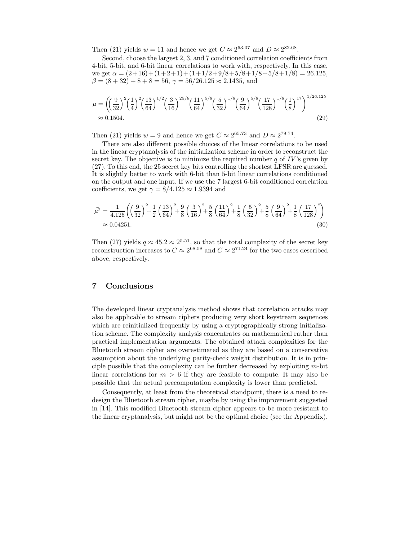Then (21) yields  $w = 11$  and hence we get  $C \approx 2^{63.07}$  and  $D \approx 2^{82.68}$ .

Second, choose the largest 2, 3, and 7 conditioned correlation coefficients from 4-bit, 5-bit, and 6-bit linear correlations to work with, respectively. In this case, we get  $\alpha = (2+16)+(1+2+1)+(1+1/2+9/8+5/8+1/8+5/8+1/8) = 26.125$ ,  $\beta = (8 + 32) + 8 + 8 = 56$ ,  $\gamma = 56/26.125 \approx 2.1435$ , and

$$
\mu = \left( \left( \frac{9}{32} \right)^2 \left( \frac{1}{4} \right)^2 \left( \frac{13}{64} \right)^{1/2} \left( \frac{3}{16} \right)^{25/8} \left( \frac{11}{64} \right)^{5/8} \left( \frac{5}{32} \right)^{1/8} \left( \frac{9}{64} \right)^{5/8} \left( \frac{17}{128} \right)^{1/8} \left( \frac{1}{8} \right)^{17} \right)^{1/26.125} \approx 0.1504. \tag{29}
$$

Then (21) yields  $w = 9$  and hence we get  $C \approx 2^{65.73}$  and  $D \approx 2^{79.74}$ .

There are also different possible choices of the linear correlations to be used in the linear cryptanalysis of the initialization scheme in order to reconstruct the secret key. The objective is to minimize the required number  $q$  of  $IV$ 's given by (27). To this end, the 25 secret key bits controlling the shortest LFSR are guessed. It is slightly better to work with 6-bit than 5-bit linear correlations conditioned on the output and one input. If we use the 7 largest 6-bit conditioned correlation coefficients, we get  $\gamma = 8/4.125 \approx 1.9394$  and

$$
\bar{\mu^2} = \frac{1}{4.125} \left( \left( \frac{9}{32} \right)^2 + \frac{1}{2} \left( \frac{13}{64} \right)^2 + \frac{9}{8} \left( \frac{3}{16} \right)^2 + \frac{5}{8} \left( \frac{11}{64} \right)^2 + \frac{1}{8} \left( \frac{5}{32} \right)^2 + \frac{5}{8} \left( \frac{9}{64} \right)^2 + \frac{1}{8} \left( \frac{17}{128} \right)^2 \right) \approx 0.04251. \tag{30}
$$

Then (27) yields  $q \approx 45.2 \approx 2^{5.51}$ , so that the total complexity of the secret key reconstruction increases to  $C \approx 2^{68.58}$  and  $C \approx 2^{71.24}$  for the two cases described above, respectively.

# 7 Conclusions

The developed linear cryptanalysis method shows that correlation attacks may also be applicable to stream ciphers producing very short keystream sequences which are reinitialized frequently by using a cryptographically strong initialization scheme. The complexity analysis concentrates on mathematical rather than practical implementation arguments. The obtained attack complexities for the Bluetooth stream cipher are overestimated as they are based on a conservative assumption about the underlying parity-check weight distribution. It is in principle possible that the complexity can be further decreased by exploiting  $m$ -bit linear correlations for  $m > 6$  if they are feasible to compute. It may also be possible that the actual precomputation complexity is lower than predicted.

Consequently, at least from the theoretical standpoint, there is a need to redesign the Bluetooth stream cipher, maybe by using the improvement suggested in [14]. This modified Bluetooth stream cipher appears to be more resistant to the linear cryptanalysis, but might not be the optimal choice (see the Appendix).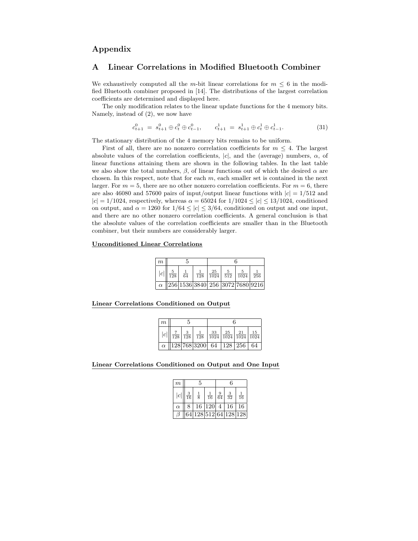# Appendix

# A Linear Correlations in Modified Bluetooth Combiner

We exhaustively computed all the m-bit linear correlations for  $m \leq 6$  in the modified Bluetooth combiner proposed in [14]. The distributions of the largest correlation coefficients are determined and displayed here.

The only modification relates to the linear update functions for the 4 memory bits. Namely, instead of (2), we now have

$$
c_{t+1}^0 = s_{t+1}^0 \oplus c_t^0 \oplus c_{t-1}^0, \qquad c_{t+1}^1 = s_{t+1}^1 \oplus c_t^1 \oplus c_{t-1}^1. \tag{31}
$$

The stationary distribution of the 4 memory bits remains to be uniform.

First of all, there are no nonzero correlation coefficients for  $m \leq 4$ . The largest absolute values of the correlation coefficients,  $|c|$ , and the (average) numbers,  $\alpha$ , of linear functions attaining them are shown in the following tables. In the last table we also show the total numbers,  $\beta$ , of linear functions out of which the desired  $\alpha$  are chosen. In this respect, note that for each  $m$ , each smaller set is contained in the next larger. For  $m = 5$ , there are no other nonzero correlation coefficients. For  $m = 6$ , there are also 46080 and 57600 pairs of input/output linear functions with  $|c| = 1/512$  and  $|c| = 1/1024$ , respectively, whereas  $\alpha = 65024$  for  $1/1024 \leq |c| \leq 13/1024$ , conditioned on output, and  $\alpha = 1260$  for  $1/64 \leq |c| \leq 3/64$ , conditioned on output and one input, and there are no other nonzero correlation coefficients. A general conclusion is that the absolute values of the correlation coefficients are smaller than in the Bluetooth combiner, but their numbers are considerably larger.

#### Unconditioned Linear Correlations

| m |                     |              |                                                         |  |                                                                                    |  |  |
|---|---------------------|--------------|---------------------------------------------------------|--|------------------------------------------------------------------------------------|--|--|
|   | $ c  \frac{5}{128}$ | $rac{1}{64}$ |                                                         |  | $\frac{1}{128}$ $\frac{25}{1024}$ $\frac{5}{512}$ $\frac{5}{1024}$ $\frac{1}{256}$ |  |  |
|   |                     |              | $\alpha$   256   1536   3840   256   3072   7680   9216 |  |                                                                                    |  |  |

Linear Correlations Conditioned on Output

| m |  |  |                                                                                                                         |  |  |  |  |
|---|--|--|-------------------------------------------------------------------------------------------------------------------------|--|--|--|--|
| c |  |  | $\frac{7}{128}$ $\frac{3}{128}$ $\frac{1}{128}$ $\frac{33}{1024}$ $\frac{25}{1024}$ $\frac{21}{1024}$ $\frac{15}{1024}$ |  |  |  |  |
|   |  |  | $\alpha$   128   768   3200   64   128   256   64                                                                       |  |  |  |  |

Linear Correlations Conditioned on Output and One Input

| $\boldsymbol{m}$ |                      | 5             |                    | 6              |              |    |  |
|------------------|----------------------|---------------|--------------------|----------------|--------------|----|--|
| c                | $\overline{3}$<br>16 | $\frac{1}{8}$ | $\frac{1}{16}$     | 9<br>64        | $rac{3}{32}$ | 16 |  |
| $\alpha$         | 8                    |               | 16 120             | $\overline{4}$ | 16           | 16 |  |
|                  | 64                   |               | 128 512 64 128 128 |                |              |    |  |